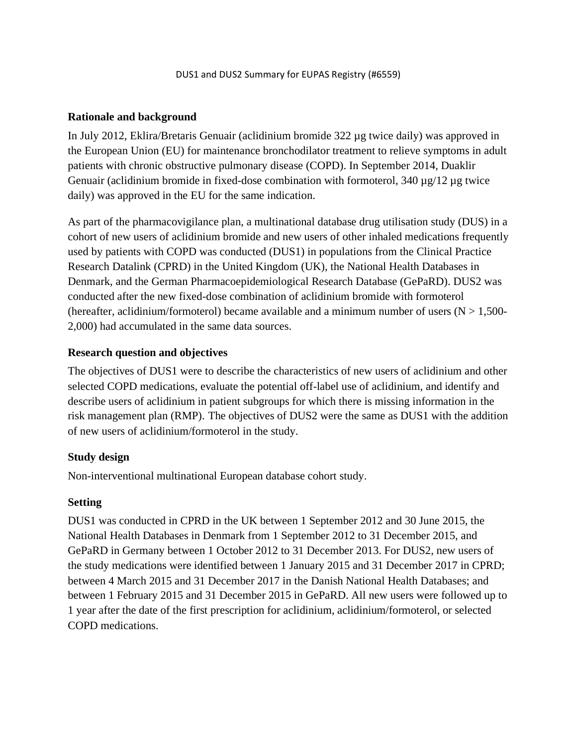#### **Rationale and background**

In July 2012, Eklira/Bretaris Genuair (aclidinium bromide 322 µg twice daily) was approved in the European Union (EU) for maintenance bronchodilator treatment to relieve symptoms in adult patients with chronic obstructive pulmonary disease (COPD). In September 2014, Duaklir Genuair (aclidinium bromide in fixed-dose combination with formoterol,  $340 \mu g/12 \mu g$  twice daily) was approved in the EU for the same indication.

As part of the pharmacovigilance plan, a multinational database drug utilisation study (DUS) in a cohort of new users of aclidinium bromide and new users of other inhaled medications frequently used by patients with COPD was conducted (DUS1) in populations from the Clinical Practice Research Datalink (CPRD) in the United Kingdom (UK), the National Health Databases in Denmark, and the German Pharmacoepidemiological Research Database (GePaRD). DUS2 was conducted after the new fixed-dose combination of aclidinium bromide with formoterol (hereafter, aclidinium/formoterol) became available and a minimum number of users ( $N > 1,500$ -2,000) had accumulated in the same data sources.

#### **Research question and objectives**

The objectives of DUS1 were to describe the characteristics of new users of aclidinium and other selected COPD medications, evaluate the potential off-label use of aclidinium, and identify and describe users of aclidinium in patient subgroups for which there is missing information in the risk management plan (RMP). The objectives of DUS2 were the same as DUS1 with the addition of new users of aclidinium/formoterol in the study.

#### **Study design**

Non-interventional multinational European database cohort study.

#### **Setting**

DUS1 was conducted in CPRD in the UK between 1 September 2012 and 30 June 2015, the National Health Databases in Denmark from 1 September 2012 to 31 December 2015, and GePaRD in Germany between 1 October 2012 to 31 December 2013. For DUS2, new users of the study medications were identified between 1 January 2015 and 31 December 2017 in CPRD; between 4 March 2015 and 31 December 2017 in the Danish National Health Databases; and between 1 February 2015 and 31 December 2015 in GePaRD. All new users were followed up to 1 year after the date of the first prescription for aclidinium, aclidinium/formoterol, or selected COPD medications.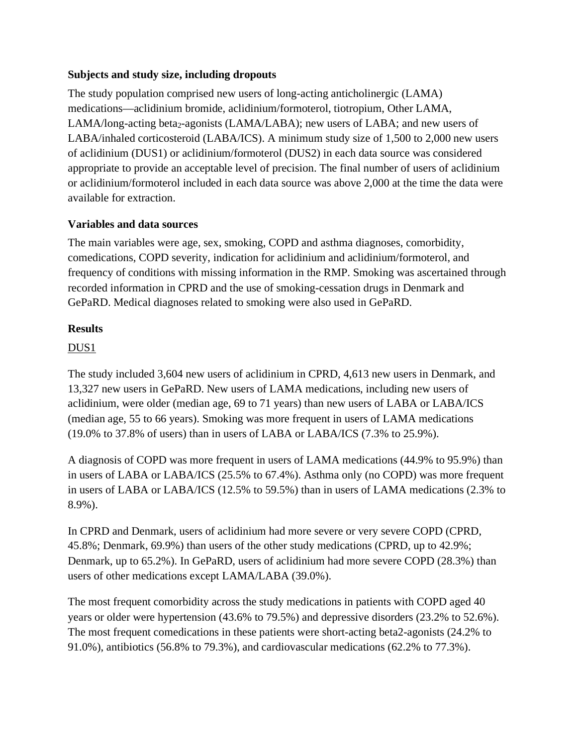# **Subjects and study size, including dropouts**

The study population comprised new users of long-acting anticholinergic (LAMA) medications—aclidinium bromide, aclidinium/formoterol, tiotropium, Other LAMA,  $LAMA/long-acting beta<sub>2</sub>-agonists (LAMA/LABA); new users of LABA; and new users of$ LABA/inhaled corticosteroid (LABA/ICS). A minimum study size of 1,500 to 2,000 new users of aclidinium (DUS1) or aclidinium/formoterol (DUS2) in each data source was considered appropriate to provide an acceptable level of precision. The final number of users of aclidinium or aclidinium/formoterol included in each data source was above 2,000 at the time the data were available for extraction.

# **Variables and data sources**

The main variables were age, sex, smoking, COPD and asthma diagnoses, comorbidity, comedications, COPD severity, indication for aclidinium and aclidinium/formoterol, and frequency of conditions with missing information in the RMP. Smoking was ascertained through recorded information in CPRD and the use of smoking-cessation drugs in Denmark and GePaRD. Medical diagnoses related to smoking were also used in GePaRD.

#### **Results**

# DUS1

The study included 3,604 new users of aclidinium in CPRD, 4,613 new users in Denmark, and 13,327 new users in GePaRD. New users of LAMA medications, including new users of aclidinium, were older (median age, 69 to 71 years) than new users of LABA or LABA/ICS (median age, 55 to 66 years). Smoking was more frequent in users of LAMA medications (19.0% to 37.8% of users) than in users of LABA or LABA/ICS (7.3% to 25.9%).

A diagnosis of COPD was more frequent in users of LAMA medications (44.9% to 95.9%) than in users of LABA or LABA/ICS (25.5% to 67.4%). Asthma only (no COPD) was more frequent in users of LABA or LABA/ICS (12.5% to 59.5%) than in users of LAMA medications (2.3% to 8.9%).

In CPRD and Denmark, users of aclidinium had more severe or very severe COPD (CPRD, 45.8%; Denmark, 69.9%) than users of the other study medications (CPRD, up to 42.9%; Denmark, up to 65.2%). In GePaRD, users of aclidinium had more severe COPD (28.3%) than users of other medications except LAMA/LABA (39.0%).

The most frequent comorbidity across the study medications in patients with COPD aged 40 years or older were hypertension (43.6% to 79.5%) and depressive disorders (23.2% to 52.6%). The most frequent comedications in these patients were short-acting beta2-agonists (24.2% to 91.0%), antibiotics (56.8% to 79.3%), and cardiovascular medications (62.2% to 77.3%).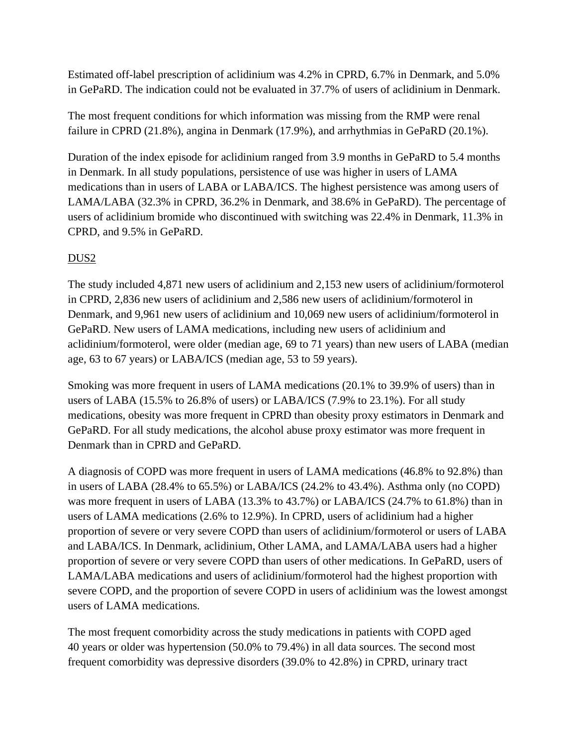Estimated off-label prescription of aclidinium was 4.2% in CPRD, 6.7% in Denmark, and 5.0% in GePaRD. The indication could not be evaluated in 37.7% of users of aclidinium in Denmark.

The most frequent conditions for which information was missing from the RMP were renal failure in CPRD (21.8%), angina in Denmark (17.9%), and arrhythmias in GePaRD (20.1%).

Duration of the index episode for aclidinium ranged from 3.9 months in GePaRD to 5.4 months in Denmark. In all study populations, persistence of use was higher in users of LAMA medications than in users of LABA or LABA/ICS. The highest persistence was among users of LAMA/LABA (32.3% in CPRD, 36.2% in Denmark, and 38.6% in GePaRD). The percentage of users of aclidinium bromide who discontinued with switching was 22.4% in Denmark, 11.3% in CPRD, and 9.5% in GePaRD.

# DUS2

The study included 4,871 new users of aclidinium and 2,153 new users of aclidinium/formoterol in CPRD, 2,836 new users of aclidinium and 2,586 new users of aclidinium/formoterol in Denmark, and 9,961 new users of aclidinium and 10,069 new users of aclidinium/formoterol in GePaRD. New users of LAMA medications, including new users of aclidinium and aclidinium/formoterol, were older (median age, 69 to 71 years) than new users of LABA (median age, 63 to 67 years) or LABA/ICS (median age, 53 to 59 years).

Smoking was more frequent in users of LAMA medications (20.1% to 39.9% of users) than in users of LABA (15.5% to 26.8% of users) or LABA/ICS (7.9% to 23.1%). For all study medications, obesity was more frequent in CPRD than obesity proxy estimators in Denmark and GePaRD. For all study medications, the alcohol abuse proxy estimator was more frequent in Denmark than in CPRD and GePaRD.

A diagnosis of COPD was more frequent in users of LAMA medications (46.8% to 92.8%) than in users of LABA (28.4% to 65.5%) or LABA/ICS (24.2% to 43.4%). Asthma only (no COPD) was more frequent in users of LABA (13.3% to 43.7%) or LABA/ICS (24.7% to 61.8%) than in users of LAMA medications (2.6% to 12.9%). In CPRD, users of aclidinium had a higher proportion of severe or very severe COPD than users of aclidinium/formoterol or users of LABA and LABA/ICS. In Denmark, aclidinium, Other LAMA, and LAMA/LABA users had a higher proportion of severe or very severe COPD than users of other medications. In GePaRD, users of LAMA/LABA medications and users of aclidinium/formoterol had the highest proportion with severe COPD, and the proportion of severe COPD in users of aclidinium was the lowest amongst users of LAMA medications.

The most frequent comorbidity across the study medications in patients with COPD aged 40 years or older was hypertension (50.0% to 79.4%) in all data sources. The second most frequent comorbidity was depressive disorders (39.0% to 42.8%) in CPRD, urinary tract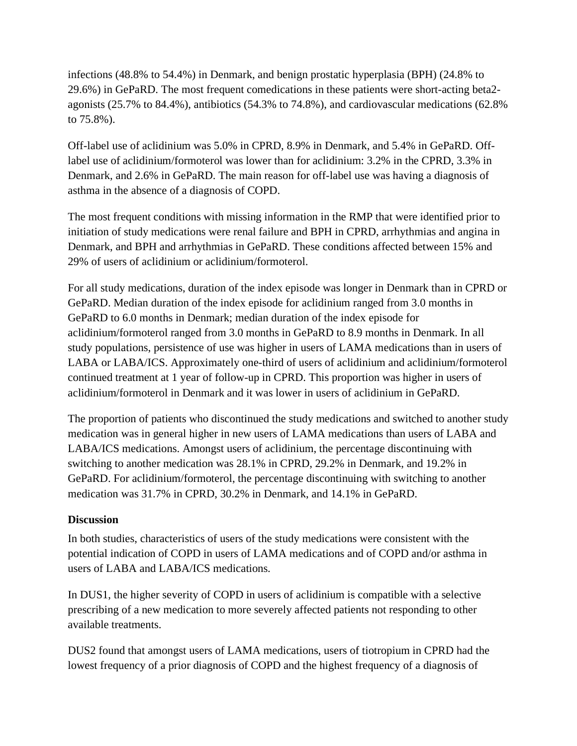infections (48.8% to 54.4%) in Denmark, and benign prostatic hyperplasia (BPH) (24.8% to 29.6%) in GePaRD. The most frequent comedications in these patients were short-acting beta2 agonists (25.7% to 84.4%), antibiotics (54.3% to 74.8%), and cardiovascular medications (62.8% to 75.8%).

Off-label use of aclidinium was 5.0% in CPRD, 8.9% in Denmark, and 5.4% in GePaRD. Offlabel use of aclidinium/formoterol was lower than for aclidinium: 3.2% in the CPRD, 3.3% in Denmark, and 2.6% in GePaRD. The main reason for off-label use was having a diagnosis of asthma in the absence of a diagnosis of COPD.

The most frequent conditions with missing information in the RMP that were identified prior to initiation of study medications were renal failure and BPH in CPRD, arrhythmias and angina in Denmark, and BPH and arrhythmias in GePaRD. These conditions affected between 15% and 29% of users of aclidinium or aclidinium/formoterol.

For all study medications, duration of the index episode was longer in Denmark than in CPRD or GePaRD. Median duration of the index episode for aclidinium ranged from 3.0 months in GePaRD to 6.0 months in Denmark; median duration of the index episode for aclidinium/formoterol ranged from 3.0 months in GePaRD to 8.9 months in Denmark. In all study populations, persistence of use was higher in users of LAMA medications than in users of LABA or LABA/ICS. Approximately one-third of users of aclidinium and aclidinium/formoterol continued treatment at 1 year of follow-up in CPRD. This proportion was higher in users of aclidinium/formoterol in Denmark and it was lower in users of aclidinium in GePaRD.

The proportion of patients who discontinued the study medications and switched to another study medication was in general higher in new users of LAMA medications than users of LABA and LABA/ICS medications. Amongst users of aclidinium, the percentage discontinuing with switching to another medication was 28.1% in CPRD, 29.2% in Denmark, and 19.2% in GePaRD. For aclidinium/formoterol, the percentage discontinuing with switching to another medication was 31.7% in CPRD, 30.2% in Denmark, and 14.1% in GePaRD.

# **Discussion**

In both studies, characteristics of users of the study medications were consistent with the potential indication of COPD in users of LAMA medications and of COPD and/or asthma in users of LABA and LABA/ICS medications.

In DUS1, the higher severity of COPD in users of aclidinium is compatible with a selective prescribing of a new medication to more severely affected patients not responding to other available treatments.

DUS2 found that amongst users of LAMA medications, users of tiotropium in CPRD had the lowest frequency of a prior diagnosis of COPD and the highest frequency of a diagnosis of